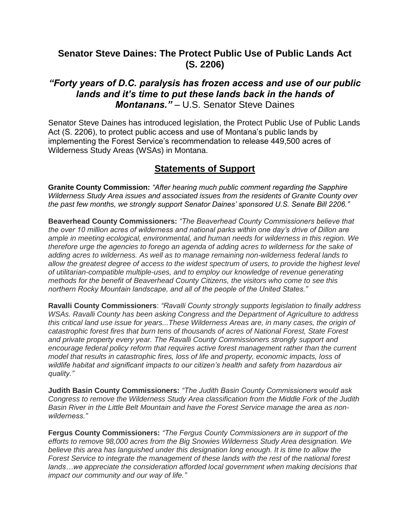## **Senator Steve Daines: The Protect Public Use of Public Lands Act (S. 2206)**

## *"Forty years of D.C. paralysis has frozen access and use of our public lands and it's time to put these lands back in the hands of Montanans."* – U.S. Senator Steve Daines

Senator Steve Daines has introduced legislation, the Protect Public Use of Public Lands Act (S. 2206), to protect public access and use of Montana's public lands by implementing the Forest Service's recommendation to release 449,500 acres of Wilderness Study Areas (WSAs) in Montana.

## **Statements of Support**

**Granite County Commission:** *"After hearing much public comment regarding the Sapphire Wilderness Study Area issues and associated issues from the residents of Granite County over the past few months, we strongly support Senator Daines' sponsored U.S. Senate Bill 2206."*

**Beaverhead County Commissioners:** *"The Beaverhead County Commissioners believe that the over 10 million acres of wilderness and national parks within one day's drive of Dillon are ample in meeting ecological, environmental, and human needs for wilderness in this region. We therefore urge the agencies to forego an agenda of adding acres to wilderness for the sake of adding acres to wilderness. As well as to manage remaining non-wilderness federal lands to allow the greatest degree of access to the widest spectrum of users, to provide the highest level of utilitarian-compatible multiple-uses, and to employ our knowledge of revenue generating methods for the benefit of Beaverhead County Citizens, the visitors who come to see this northern Rocky Mountain landscape, and all of the people of the United States."*

**Ravalli County Commissioners**: *"Ravalli County strongly supports legislation to finally address WSAs. Ravalli County has been asking Congress and the Department of Agriculture to address this critical land use issue for years...These Wilderness Areas are, in many cases, the origin of catastrophic forest fires that burn tens of thousands of acres of National Forest, State Forest and private property every year. The Ravalli County Commissioners strongly support and encourage federal policy reform that requires active forest management rather than the current model that results in catastrophic fires, loss of life and property, economic impacts, loss of wildlife habitat and significant impacts to our citizen's health and safety from hazardous air quality."* 

**Judith Basin County Commissioners:** *"The Judith Basin County Commissioners would ask Congress to remove the Wilderness Study Area classification from the Middle Fork of the Judith Basin River in the Little Belt Mountain and have the Forest Service manage the area as nonwilderness."*

**Fergus County Commissioners:** *"The Fergus County Commissioners are in support of the efforts to remove 98,000 acres from the Big Snowies Wilderness Study Area designation. We believe this area has languished under this designation long enough. It is time to allow the Forest Service to integrate the management of these lands with the rest of the national forest lands…we appreciate the consideration afforded local government when making decisions that impact our community and our way of life."*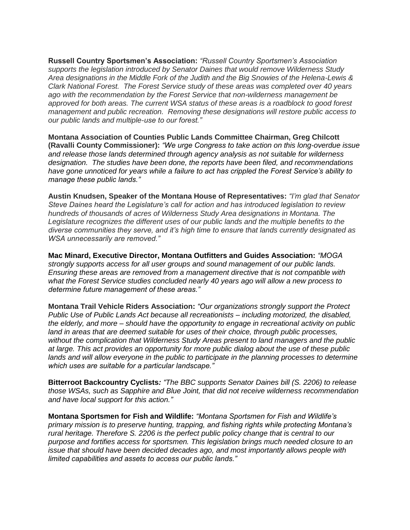**Russell Country Sportsmen's Association:** *"Russell Country Sportsmen's Association supports the legislation introduced by Senator Daines that would remove Wilderness Study Area designations in the Middle Fork of the Judith and the Big Snowies of the Helena-Lewis & Clark National Forest. The Forest Service study of these areas was completed over 40 years ago with the recommendation by the Forest Service that non-wilderness management be approved for both areas. The current WSA status of these areas is a roadblock to good forest management and public recreation. Removing these designations will restore public access to our public lands and multiple-use to our forest."*

**Montana Association of Counties Public Lands Committee Chairman, Greg Chilcott (Ravalli County Commissioner):** *"We urge Congress to take action on this long-overdue issue and release those lands determined through agency analysis as not suitable for wilderness designation. The studies have been done, the reports have been filed, and recommendations have gone unnoticed for years while a failure to act has crippled the Forest Service's ability to manage these public lands."*

**Austin Knudsen, Speaker of the Montana House of Representatives:** *"I'm glad that Senator Steve Daines heard the Legislature's call for action and has introduced legislation to review hundreds of thousands of acres of Wilderness Study Area designations in Montana. The Legislature recognizes the different uses of our public lands and the multiple benefits to the diverse communities they serve, and it's high time to ensure that lands currently designated as WSA unnecessarily are removed."*

**Mac Minard, Executive Director, Montana Outfitters and Guides Association:** *"MOGA strongly supports access for all user groups and sound management of our public lands. Ensuring these areas are removed from a management directive that is not compatible with what the Forest Service studies concluded nearly 40 years ago will allow a new process to determine future management of these areas."*

**Montana Trail Vehicle Riders Association:** *"Our organizations strongly support the Protect Public Use of Public Lands Act because all recreationists – including motorized, the disabled, the elderly, and more – should have the opportunity to engage in recreational activity on public land in areas that are deemed suitable for uses of their choice, through public processes, without the complication that Wilderness Study Areas present to land managers and the public at large. This act provides an opportunity for more public dialog about the use of these public lands and will allow everyone in the public to participate in the planning processes to determine which uses are suitable for a particular landscape."*

**Bitterroot Backcountry Cyclists***: "The BBC supports Senator Daines bill (S. 2206) to release those WSAs, such as Sapphire and Blue Joint, that did not receive wilderness recommendation and have local support for this action."*

**Montana Sportsmen for Fish and Wildlife:** *"Montana Sportsmen for Fish and Wildlife's primary mission is to preserve hunting, trapping, and fishing rights while protecting Montana's rural heritage. Therefore S. 2206 is the perfect public policy change that is central to our purpose and fortifies access for sportsmen. This legislation brings much needed closure to an issue that should have been decided decades ago, and most importantly allows people with limited capabilities and assets to access our public lands."*